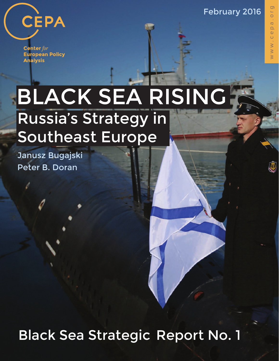February 2016



**Center** for **European Policy Analysis** 

## BLACK SEA RISING Russia's Strategy in Southeast Europe

Janusz Bugajski Peter B. Doran

Black Sea Strategic Report No. 1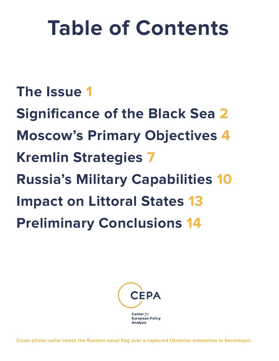# **Table of Contents**

#### **The Issue 1**

**Significance of the Black Sea 2 Moscow's Primary Objectives 4 Kremlin Strategies 7 Russia's Military Capabilities 10 Impact on Littoral States 13 Preliminary Conclusions 14**



**Cover photo: sailor raises the Russian naval flag over a captured Ukranian submarine in Sevastopol.**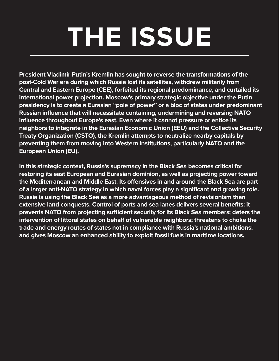# **THE ISSUE**

**President Vladimir Putin's Kremlin has sought to reverse the transformations of the post-Cold War era during which Russia lost its satellites, withdrew militarily from Central and Eastern Europe (CEE), forfeited its regional predominance, and curtailed its international power projection. Moscow's primary strategic objective under the Putin presidency is to create a Eurasian "pole of power" or a bloc of states under predominant Russian influence that will necessitate containing, undermining and reversing NATO influence throughout Europe's east. Even where it cannot pressure or entice its neighbors to integrate in the Eurasian Economic Union (EEU) and the Collective Security Treaty Organization (CSTO), the Kremlin attempts to neutralize nearby capitals by preventing them from moving into Western institutions, particularly NATO and the European Union (EU).**

**In this strategic context, Russia's supremacy in the Black Sea becomes critical for restoring its east European and Eurasian dominion, as well as projecting power toward**  the Mediterranean and Middle East. Its offensives in and around the Black Sea are part **of a larger anti-NATO strategy in which naval forces play a significant and growing role. Russia is using the Black Sea as a more advantageous method of revisionism than extensive land conquests. Control of ports and sea lanes delivers several benefits: it**  prevents NATO from projecting sufficient security for its Black Sea members; deters the **intervention of littoral states on behalf of vulnerable neighbors; threatens to choke the trade and energy routes of states not in compliance with Russia's national ambitions; and gives Moscow an enhanced ability to exploit fossil fuels in maritime locations.**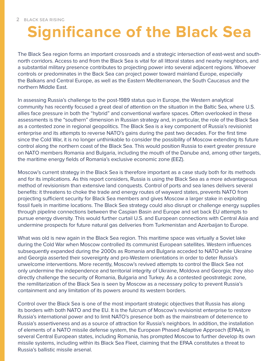#### **Significance of the Black Sea**

The Black Sea region forms an important crossroads and a strategic intersection of east-west and southnorth corridors. Access to and from the Black Sea is vital for all littoral states and nearby neighbors, and a substantial military presence contributes to projecting power into several adjacent regions. Whoever controls or predominates in the Back Sea can project power toward mainland Europe, especially the Balkans and Central Europe, as well as the Eastern Mediterranean, the South Caucasus and the northern Middle East.

In assessing Russia's challenge to the post-1989 status quo in Europe, the Western analytical community has recently focused a great deal of attention on the situation in the Baltic Sea, where U.S. allies face pressure in both the "hybrid" and conventional warfare spaces. Often overlooked in these assessments is the "southern" dimension in Russian strategy and, in particular, the role of the Black Sea as a contested zone in regional geopolitics. The Black Sea is a key component of Russia's revisionist enterprise and its attempts to reverse NATO's gains during the past two decades. For the first time since the Cold War, it is no longer unthinkable to consider the possibility of Moscow extending its future control along the northern coast of the Black Sea. This would position Russia to exert greater pressure on NATO members Romania and Bulgaria, including the mouth of the Danube and, among other targets, the maritime energy fields of Romania's exclusive economic zone (EEZ).

Moscow's current strategy in the Black Sea is therefore important as a case study both for its methods and for its implications. As this report considers, Russia is using the Black Sea as a more advantageous method of revisionism than extensive land conquests. Control of ports and sea lanes delivers several benefits: it threatens to choke the trade and energy routes of wayward states, prevents NATO from projecting sufficient security for Black Sea members and gives Moscow a larger stake in exploiting fossil fuels in maritime locations. The Black Sea strategy could also disrupt or challenge energy supplies through pipeline connections between the Caspian Basin and Europe and set back EU attempts to pursue energy diversity. This would further curtail U.S. and European connections with Central Asia and undermine prospects for future natural gas deliveries from Turkmenistan and Azerbaijan to Europe.

What was old is new again in the Black Sea region. This maritime space was virtually a Soviet lake during the Cold War when Moscow controlled its communist European satellites. Western influences subsequently expanded during the 2000s as Romania and Bulgaria acceded to NATO while Ukraine and Georgia asserted their sovereignty and pro-Western orientations in order to deter Russia's unwelcome interventions. More recently, Moscow's revived attempts to control the Black Sea not only undermine the independence and territorial integrity of Ukraine, Moldova and Georgia; they also directly challenge the security of Romania, Bulgaria and Turkey. As a contested geostrategic zone, the remilitarization of the Black Sea is seen by Moscow as a necessary policy to prevent Russia's containment and any limitation of its powers around its western borders.

Control over the Black Sea is one of the most important strategic objectives that Russia has along its borders with both NATO and the EU. It is the fulcrum of Moscow's revisionist enterprise to restore Russia's international power and to limit NATO's presence both as the mainstream of deterrence to Russia's assertiveness and as a source of attraction for Russia's neighbors. In addition, the installation of elements of a NATO missile defense system, the European Phased Adaptive Approach (EPAA), in several Central European states, including Romania, has prompted Moscow to further develop its own missile systems, including within its Black Sea Fleet, claiming that the EPAA constitutes a threat to Russia's ballistic missile arsenal.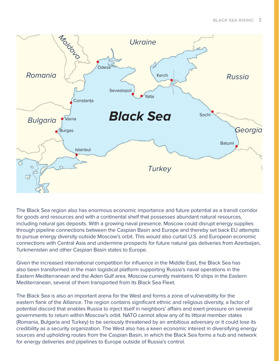

The Black Sea region also has enormous economic importance and future potential as a transit corridor for goods and resources and with a continental shelf that possesses abundant natural resources, including natural gas deposits. With a growing naval presence, Moscow could disrupt energy supplies through pipeline connections between the Caspian Basin and Europe and thereby set back EU attempts to pursue energy diversity outside Moscow's orbit. This would also curtail U.S. and European economic connections with Central Asia and undermine prospects for future natural gas deliveries from Azerbaijan, Turkmenistan and other Caspian Basin states to Europe.

Given the increased international competition for influence in the Middle East, the Black Sea has also been transformed in the main logistical platform supporting Russia's naval operations in the Eastern Mediterranean and the Aden Gulf area. Moscow currently maintains 10 ships in the Eastern Mediterranean, several of them transported from its Black Sea Fleet.

The Black Sea is also an important arena for the West and forms a zone of vulnerability for the eastern flank of the Alliance. The region contains significant ethnic and religious diversity, a factor of potential discord that enables Russia to inject itself in neighbors' affairs and exert pressure on several governments to return within Moscow's orbit. NATO cannot allow any of its littoral member states (Romania, Bulgaria and Turkey) to be seriously threatened by an ambitious adversary or it could lose its credibility as a security organization. The West also has a keen economic interest in diversifying energy sources and upholding routes from the Caspian Basin, in which the Black Sea forms a hub and network for energy deliveries and pipelines to Europe outside of Russia's control.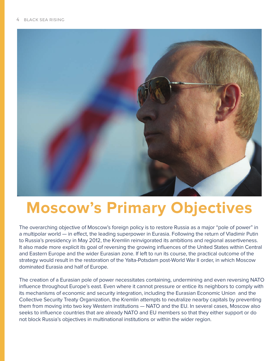

#### **Moscow's Primary Objectives**

The overarching objective of Moscow's foreign policy is to restore Russia as a major "pole of power" in a multipolar world — in effect, the leading superpower in Eurasia. Following the return of Vladimir Putin to Russia's presidency in May 2012, the Kremlin reinvigorated its ambitions and regional assertiveness. It also made more explicit its goal of reversing the growing influences of the United States within Central and Eastern Europe and the wider Eurasian zone. If left to run its course, the practical outcome of the strategy would result in the restoration of the Yalta-Potsdam post-World War II order, in which Moscow dominated Eurasia and half of Europe.

The creation of a Eurasian pole of power necessitates containing, undermining and even reversing NATO influence throughout Europe's east. Even where it cannot pressure or entice its neighbors to comply with its mechanisms of economic and security integration, including the Eurasian Economic Union and the Collective Security Treaty Organization, the Kremlin attempts to neutralize nearby capitals by preventing them from moving into two key Western institutions — NATO and the EU. In several cases, Moscow also seeks to influence countries that are already NATO and EU members so that they either support or do not block Russia's objectives in multinational institutions or within the wider region.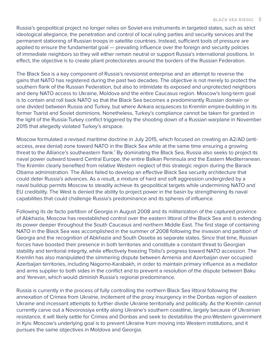Russia's geopolitical project no longer relies on Soviet-era instruments in targeted states, such as strict ideological allegiance, the penetration and control of local ruling parties and security services and the permanent stationing of Russian troops in satellite countries. Instead, sufficient tools of pressure are applied to ensure the fundamental goal — prevailing influence over the foreign and security policies of immediate neighbors so they will either remain neutral or support Russia's international positions. In effect, the objective is to create pliant protectorates around the borders of the Russian Federation.

The Black Sea is a key component of Russia's revisionist enterprise and an attempt to reverse the gains that NATO has registered during the past two decades. The objective is not merely to protect the southern flank of the Russian Federation, but also to intimidate its exposed and unprotected neighbors and deny NATO access to Ukraine, Moldova and the entire Caucasus region. Moscow's long-term goal is to contain and roll back NATO so that the Black Sea becomes a predominantly Russian domain or one divided between Russia and Turkey, but where Ankara acquiesces to Kremlin empire-building in its former Tsarist and Soviet dominions. Nonetheless, Turkey's compliance cannot be taken for granted in the light of the Russia-Turkey conflict triggered by the shooting down of a Russian warplane in November 2015 that allegedly violated Turkey's airspace.

Moscow formulated a revised maritime doctrine in July 2015, which focused on creating an A2/AD (antiaccess, area denial) zone toward NATO in the Black Sea while at the same time ensuring a growing threat to the Alliance's southeastern flank.<sup>1</sup> By dominating the Black Sea, Russia also seeks to project its naval power outward toward Central Europe, the entire Balkan Peninsula and the Eastern Mediterranean. The Kremlin clearly benefited from relative Western neglect of this strategic region during the Barack Obama administration. The Allies failed to develop an effective Black Sea security architecture that could deter Russia's advances. As a result, a mixture of hard and soft aggression undergirded by a naval buildup permits Moscow to steadily achieve its geopolitical targets while undermining NATO and EU credibility. The West is denied the ability to project power in the basin by strengthening its naval capabilities that could challenge Russia's predominance and its spheres of influence.

Following its de facto partition of Georgia in August 2008 and its militarization of the captured province of Abkhazia, Moscow has reestablished control over the eastern littoral of the Black Sea and is extending its power deeper throughout the South Caucasus and northern Middle East. The first stage of containing NATO in the Black Sea was accomplished in the summer of 2008 following the invasion and partition of Georgia and the recognition of Abkhazia and South Ossetia as separate states. Since that time, Russian forces have boosted their presence in both territories and constitute a constant threat to Georgian stability and territorial integrity, while effectively freezing Tbilisi's progress toward NATO accession. The Kremlin has also manipulated the simmering dispute between Armenia and Azerbaijan over occupied Azerbaijan territories, including Nagorno-Karabakh, in order to maintain primary influence as a mediator and arms supplier to both sides in the conflict and to prevent a resolution of the dispute between Baku and Yerevan, which would diminish Russia's regional predominance.

Russia is currently in the process of fully controlling the northern Black Sea littoral following the annexation of Crimea from Ukraine, incitement of the proxy insurgency in the Donbas region of eastern Ukraine and incessant attempts to further divide Ukraine territorially and politically. As the Kremlin cannot currently carve out a Novorossiya entity along Ukraine's southern coastline, largely because of Ukrainian resistance, it will likely settle for Crimea and Donbas and seek to destabilize the pro-Western government in Kyiv. Moscow's underlying goal is to prevent Ukraine from moving into Western institutions, and it pursues the same objectives in Moldova and Georgia.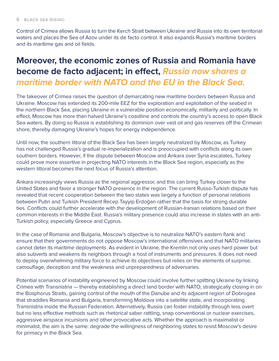Control of Crimea allows Russia to turn the Kerch Strait between Ukraine and Russia into its own territorial waters and places the Sea of Azov under its de facto control. It also expands Russia's maritime borders and its maritime gas and oil fields.

#### **Moreover, the economic zones of Russia and Romania have become de facto adjacent; in effect, Russia now shares a maritime border with NATO and the EU in the Black Sea.**

The takeover of Crimea raises the question of demarcating new maritime borders between Russia and Ukraine. Moscow has extended its 200-mile EEZ for the exploration and exploitation of the seabed in the northern Black Sea, placing Ukraine in a vulnerable position economically, militarily and politically. In effect, Moscow has more than halved Ukraine's coastline and controls the country's access to open Black Sea waters. By doing so Russia is establishing its dominion over vast oil and gas reserves off the Crimean shore, thereby damaging Ukraine's hopes for energy independence.

Until now, the southern littoral of the Black Sea has been largely neutralized by Moscow, as Turkey has not challenged Russia's gradual re-imperialization and is preoccupied with conflicts along its own southern borders. However, if the dispute between Moscow and Ankara over Syria escalates, Turkey could prove more assertive in projecting NATO interests in the Black Sea region, especially as the western littoral becomes the next focus of Russia's attention.

Ankara increasingly views Russia as the regional aggressor, and this can bring Turkey closer to the United States and favor a stronger NATO presence in the region. The current Russo-Turkish dispute has revealed that recent cooperation between the two states was largely a function of personal relations between Putin and Turkish President Recep Tayyip Erdoğan rather that the basis for strong durable ties. Conflicts could further accelerate with the development of Russian-Iranian relations based on their common interests in the Middle East. Russia's military presence could also increase in states with an anti-Turkish policy, especially Greece and Cyprus.

In the case of Romania and Bulgaria, Moscow's objective is to neutralize NATO's eastern flank and ensure that their governments do not oppose Moscow's international offensives and that NATO militaries cannot deter its maritime deployments. As evident in Ukraine, the Kremlin not only uses hard power but also subverts and weakens its neighbors through a host of instruments and pressures. It does not need to deploy overwhelming military force to achieve its objectives but relies on the elements of surprise, camouflage, deception and the weakness and unpreparedness of adversaries.

Potential scenarios of instability engineered by Moscow could involve further splitting Ukraine by linking Crimea with Transnistria — thereby establishing a direct land border with NATO, strategically closing in on the Bosphorus Straits, gaining control of the mouth of the Danube and its adjacent region of Dobrogea that straddles Romania and Bulgaria, transforming Moldova into a satellite state, and incorporating Transnistria inside the Russian Federation. Alternatively, Russia can foster instability through less overt but no less effective methods such as rhetorical saber rattling, snap conventional or nuclear exercises, aggressive airspace incursions and other provocative acts. Whether the approach is maximalist or minimalist, the aim is the same: degrade the willingness of neighboring states to resist Moscow's desire for primacy in the Black Sea.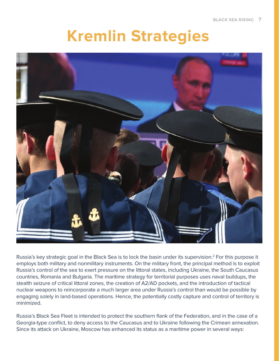#### **Kremlin Strategies**



Russia's key strategic goal in the Black Sea is to lock the basin under its supervision.<sup>2</sup> For this purpose it employs both military and nonmilitary instruments. On the military front, the principal method is to exploit Russia's control of the sea to exert pressure on the littoral states, including Ukraine, the South Caucasus countries, Romania and Bulgaria. The maritime strategy for territorial purposes uses naval buildups, the stealth seizure of critical littoral zones, the creation of A2/AD pockets, and the introduction of tactical nuclear weapons to reincorporate a much larger area under Russia's control than would be possible by engaging solely in land-based operations. Hence, the potentially costly capture and control of territory is minimized.

Russia's Black Sea Fleet is intended to protect the southern flank of the Federation, and in the case of a Georgia-type conflict, to deny access to the Caucasus and to Ukraine following the Crimean annexation. Since its attack on Ukraine, Moscow has enhanced its status as a maritime power in several ways: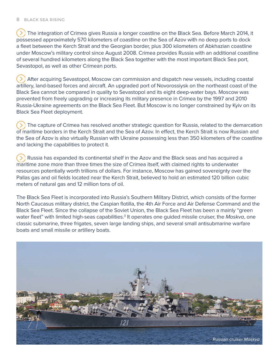$\triangleright$ ) The integration of Crimea gives Russia a longer coastline on the Black Sea. Before March 2014, it possessed approximately 570 kilometers of coastline on the Sea of Azov with no deep ports to dock a fleet between the Kerch Strait and the Georgian border, plus 300 kilometers of Abkhazian coastline under Moscow's military control since August 2008. Crimea provides Russia with an additional coastline of several hundred kilometers along the Black Sea together with the most important Black Sea port, Sevastopol, as well as other Crimean ports.

 After acquiring Sevastopol, Moscow can commission and dispatch new vessels, including coastal artillery, land-based forces and aircraft. An upgraded port of Novorossiysk on the northeast coast of the Black Sea cannot be compared in quality to Sevastopol and its eight deep-water bays. Moscow was prevented from freely upgrading or increasing its military presence in Crimea by the 1997 and 2010 Russia-Ukraine agreements on the Black Sea Fleet. But Moscow is no longer constrained by Kyiv on its Black Sea Fleet deployment.

 The capture of Crimea has resolved another strategic question for Russia, related to the demarcation of maritime borders in the Kerch Strait and the Sea of Azov. In effect, the Kerch Strait is now Russian and the Sea of Azov is also virtually Russian with Ukraine possessing less than 350 kilometers of the coastline and lacking the capabilities to protect it.

 $\rightarrow$  Russia has expanded its continental shelf in the Azov and the Black seas and has acquired a maritime zone more than three times the size of Crimea itself, with claimed rights to underwater resources potentially worth trillions of dollars. For instance, Moscow has gained sovereignty over the Pallas gas and oil fields located near the Kerch Strait, believed to hold an estimated 120 billion cubic meters of natural gas and 12 million tons of oil.

The Black Sea Fleet is incorporated into Russia's Southern Military District, which consists of the former North Caucasus military district, the Caspian flotilla, the 4th Air Force and Air Defense Command and the Black Sea Fleet. Since the collapse of the Soviet Union, the Black Sea Fleet has been a mainly "green water fleet" with limited high-seas capabilities.<sup>3</sup> It operates one guided missile cruiser, the Moskva, one classic submarine, three frigates, seven large landing ships, and several small antisubmarine warfare boats and small missile or artillery boats.

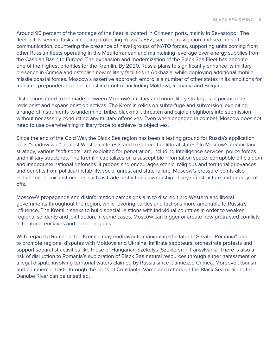Around 90 percent of the tonnage of the fleet is located in Crimean ports, mainly in Sevastopol. The fleet fulfills several tasks, including protecting Russia's EEZ, securing navigation and sea lines of communication, countering the presence of naval groups of NATO forces, supporting units coming from other Russian fleets operating in the Mediterranean and maintaining leverage over energy supplies from the Caspian Basin to Europe. The expansion and modernization of the Black Sea Fleet has become one of the highest priorities for the Kremlin. By 2020, Russia plans to significantly enhance its military presence in Crimea and establish new military facilities in Abkhazia, while deploying additional mobile missile coastal forces. Moscow's assertive approach embroils a number of other states in its ambitions for maritime preponderance and coastline control, including Moldova, Romania and Bulgaria.

Distinctions need to be made between Moscow's military and nonmilitary strategies in pursuit of its revisionist and expansionist objectives. The Kremlin relies on subterfuge and subversion, exploiting a range of instruments to undermine, bribe, blackmail, threaten and cajole neighbors into submission without necessarily conducting any military offensives. Even when engaged in combat, Moscow does not need to use overwhelming military force to achieve its objectives.

Since the end of the Cold War, the Black Sea region has been a testing ground for Russia's application of its "shadow war" against Western interests and to suborn the littoral states.<sup>4</sup> In Moscow's nonmilitary strategy, various "soft spots" are exploited for penetration, including intelligence services, police forces and military structures. The Kremlin capitalizes on a susceptible information space, corruptible officialdom and inadequate national defenses. It probes and encourages ethnic, religious and territorial grievances, and benefits from political instability, social unrest and state failure. Moscow's pressure points also include economic instruments such as trade restrictions, ownership of key infrastructure and energy cutoffs.

Moscow's propaganda and disinformation campaigns aim to discredit pro-Western and liberal governments throughout the region, while favoring parties and factions more amenable to Russia's influence. The Kremlin seeks to build special relations with individual countries in order to weaken regional solidarity and joint action. In some cases, Moscow can trigger or create new protracted conflicts in territorial enclaves and border regions.

With regard to Romania, the Kremlin may endeavor to manipulate the latent "Greater Romania" idea to promote regional disputes with Moldova and Ukraine, infiltrate saboteurs, orchestrate protests and support separatist activities like those of Hungarian-Székelys (Szeklers) in Transylvania. There is also a risk of disruption to Romania's exploration of Black Sea natural resources through either harassment or a legal dispute involving territorial waters claimed by Russia since it annexed Crimea. Moreover, tourism and commercial trade through the ports of Constanța, Varna and others on the Black Sea or along the Danube River can be unsettled.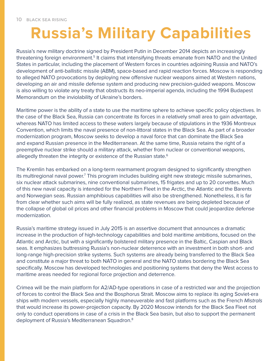#### **Russia's Military Capabilities**

Russia's new military doctrine signed by President Putin in December 2014 depicts an increasingly threatening foreign environment.<sup>5</sup> It claims that intensifying threats emanate from NATO and the United States in particular, including the placement of Western forces in countries adjoining Russia and NATO's development of anti-ballistic missile (ABM), space-based and rapid reaction forces. Moscow is responding to alleged NATO provocations by deploying new offensive nuclear weapons aimed at Western nations, developing an air and missile defense system and producing new precision-guided weapons. Moscow is also willing to violate any treaty that obstructs its neo-imperial agenda, including the 1994 Budapest Memorandum on the inviolability of Ukraine's borders.

Maritime power is the ability of a state to use the maritime sphere to achieve specific policy objectives. In the case of the Black Sea, Russia can concentrate its forces in a relatively small area to gain advantage, whereas NATO has limited access to these waters largely because of stipulations in the 1936 Montreux Convention, which limits the naval presence of non-littoral states in the Black Sea. As part of a broader modernization program, Moscow seeks to develop a naval force that can dominate the Black Sea and expand Russian presence in the Mediterranean. At the same time, Russia retains the right of a preemptive nuclear strike should a military attack, whether from nuclear or conventional weapons, allegedly threaten the integrity or existence of the Russian state.<sup>6</sup>

The Kremlin has embarked on a long-term rearmament program designed to significantly strengthen its multiregional naval power.<sup>7</sup> This program includes building eight new strategic missile submarines, six nuclear attack submarines, nine conventional submarines, 15 frigates and up to 20 corvettes. Much of this new naval capacity is intended for the Northern Fleet in the Arctic, the Atlantic and the Barents and Norwegian seas. Russian amphibious capabilities will also be strengthened. Nonetheless, it is far from clear whether such aims will be fully realized, as state revenues are being depleted because of the collapse of global oil prices and other financial problems in Moscow that could jeopardize defense modernization.

Russia's maritime strategy issued in July 2015 is an assertive document that announces a dramatic increase in the production of high-technology capabilities and bold maritime ambitions, focused on the Atlantic and Arctic, but with a significantly bolstered military presence in the Baltic, Caspian and Black seas. It emphasizes buttressing Russia's non-nuclear deterrence with an investment in both short- and long-range high-precision strike systems. Such systems are already being transferred to the Black Sea and constitute a major threat to both NATO in general and the NATO states bordering the Black Sea specifically. Moscow has developed technologies and positioning systems that deny the West access to maritime areas needed for regional force projection and deterrence.

Crimea will be the main platform for A2/AD-type operations in case of a restricted war and the projection of forces to control the Black Sea and the Bosphorus Strait. Moscow aims to replace its aging Soviet-era ships with modern vessels, especially highly maneuverable and fast platforms such as the French Mistrals that would increase its power-projection capacity. By 2020 Moscow intends for the Black Sea Fleet not only to conduct operations in case of a crisis in the Black Sea basin, but also to support the permanent deployment of Russia's Mediterranean Squadron.8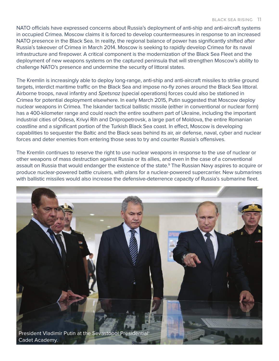NATO officials have expressed concerns about Russia's deployment of anti-ship and anti-aircraft systems in occupied Crimea. Moscow claims it is forced to develop countermeasures in response to an increased NATO presence in the Black Sea. In reality, the regional balance of power has significantly shifted after Russia's takeover of Crimea in March 2014. Moscow is seeking to rapidly develop Crimea for its naval infrastructure and firepower. A critical component is the modernization of the Black Sea Fleet and the deployment of new weapons systems on the captured peninsula that will strengthen Moscow's ability to challenge NATO's presence and undermine the security of littoral states.

The Kremlin is increasingly able to deploy long-range, anti-ship and anti-aircraft missiles to strike ground targets, interdict maritime traffic on the Black Sea and impose no-fly zones around the Black Sea littoral. Airborne troops, naval infantry and Spetsnaz (special operations) forces could also be stationed in Crimea for potential deployment elsewhere. In early March 2015, Putin suggested that Moscow deploy nuclear weapons in Crimea. The Iskander tactical ballistic missile (either in conventional or nuclear form) has a 400-kilometer range and could reach the entire southern part of Ukraine, including the important industrial cities of Odesa, Krivyi Rih and Dnipropetrovsk, a large part of Moldova, the entire Romanian coastline and a significant portion of the Turkish Black Sea coast. In effect, Moscow is developing capabilities to sequester the Baltic and the Black seas behind its air, air defense, naval, cyber and nuclear forces and deter enemies from entering those seas to try and counter Russia's offensives.

The Kremlin continues to reserve the right to use nuclear weapons in response to the use of nuclear or other weapons of mass destruction against Russia or its allies, and even in the case of a conventional assault on Russia that would endanger the existence of the state.<sup>9</sup> The Russian Navy aspires to acquire or produce nuclear-powered battle cruisers, with plans for a nuclear-powered supercarrier. New submarines with ballistic missiles would also increase the defensive-deterrence capacity of Russia's submarine fleet.

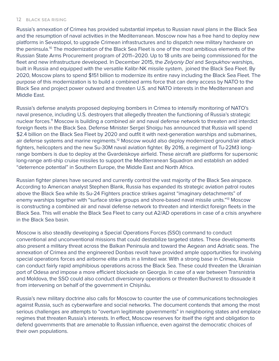Russia's annexation of Crimea has provided substantial impetus to Russian naval plans in the Black Sea and the resumption of naval activities in the Mediterranean. Moscow now has a free hand to deploy new platforms in Sevastopol, to upgrade Crimean infrastructures and to dispatch new military hardware on the peninsula.10 The modernization of the Black Sea Fleet is one of the most ambitious elements of the Russian State Arms Procurement program of 2011–2020. Up to 18 units are being commissioned for the fleet and new infrastructure developed. In December 2015, the Zelyoniy Dol and Serpukhov warships, built in Russia and equipped with the versatile Kalibr-NK missile system, joined the Black Sea Fleet. By 2020, Moscow plans to spend \$151 billion to modernize its entire navy including the Black Sea Fleet. The purpose of this modernization is to build a combined arms force that can deny access by NATO to the Black Sea and project power outward and threaten U.S. and NATO interests in the Mediterranean and Middle East.

Russia's defense analysts proposed deploying bombers in Crimea to intensify monitoring of NATO's naval presence, including U.S. destroyers that allegedly threaten the functioning of Russia's strategic nuclear forces.<sup>11</sup> Moscow is building a combined air and naval defense network to threaten and interdict foreign fleets in the Black Sea. Defense Minister Sergei Shoigu has announced that Russia will spend \$2.4 billion on the Black Sea Fleet by 2020 and outfit it with next-generation warships and submarines, air defense systems and marine regiments.<sup>12</sup> Moscow would also deploy modernized ground/air attack fighters, helicopters and the new Su-30M naval aviation fighter. By 2016, a regiment of Tu-22M3 longrange bombers is due to deploy at the Gvardeiskoye airfield. These aircraft are platforms for supersonic long-range anti-ship cruise missiles to support the Mediterranean Squadron and establish an added "deterrence potential" in Southern Europe, the Middle East and North Africa.

Russian fighter planes have secured and currently control the vast majority of the Black Sea airspace. According to American analyst Stephen Blank, Russia has expanded its strategic aviation patrol routes above the Black Sea while its Su-24 Fighters practice strikes against "imaginary detachments" of enemy warships together with "surface strike groups and shore-based naval missile units."13 Moscow is constructing a combined air and naval defense network to threaten and interdict foreign fleets in the Black Sea. This will enable the Black Sea Fleet to carry out A2/AD operations in case of a crisis anywhere in the Black Sea basin.

Moscow is also steadily developing a Special Operations Forces (SSO) command to conduct conventional and unconventional missions that could destabilize targeted states. These developments also present a military threat across the Balkan Peninsula and toward the Aegean and Adriatic seas. The annexation of Crimea and the engineered Donbas revolt have provided ample opportunities for involving special operations forces and airborne elite units in a limited war. With a strong base in Crimea, Russia can conduct fairly rapid amphibious operations across the Black Sea. These could threaten the Ukrainian port of Odesa and impose a more efficient blockade on Georgia. In case of a war between Transnistria and Moldova, the SSO could also conduct diversionary operations or threaten Bucharest to dissuade it from intervening on behalf of the government in Chișinău.

Russia's new military doctrine also calls for Moscow to counter the use of communications technologies against Russia, such as cyberwarfare and social networks. The document contends that among the most serious challenges are attempts to "overturn legitimate governments" in neighboring states and emplace regimes that threaten Russia's interests. In effect, Moscow reserves for itself the right and obligation to defend governments that are amenable to Russian influence, even against the democratic choices of their own populations.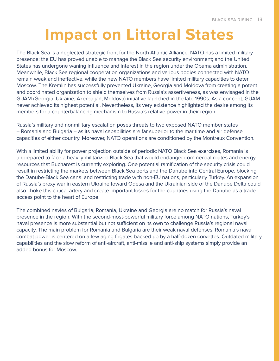### **Impact on Littoral States**

The Black Sea is a neglected strategic front for the North Atlantic Alliance. NATO has a limited military presence; the EU has proved unable to manage the Black Sea security environment; and the United States has undergone waning influence and interest in the region under the Obama administration. Meanwhile, Black Sea regional cooperation organizations and various bodies connected with NATO remain weak and ineffective, while the new NATO members have limited military capacities to deter Moscow. The Kremlin has successfully prevented Ukraine, Georgia and Moldova from creating a potent and coordinated organization to shield themselves from Russia's assertiveness, as was envisaged in the GUAM (Georgia, Ukraine, Azerbaijan, Moldova) initiative launched in the late 1990s. As a concept, GUAM never achieved its highest potential. Nevertheless, its very existence highlighted the desire among its members for a counterbalancing mechanism to Russia's relative power in their region.

Russia's military and nonmilitary escalation poses threats to two exposed NATO member states -- Romania and Bulgaria -- as its naval capabilities are far superior to the maritime and air defense capacities of either country. Moreover, NATO operations are conditioned by the Montreux Convention.

With a limited ability for power projection outside of periodic NATO Black Sea exercises, Romania is unprepared to face a heavily militarized Black Sea that would endanger commercial routes and energy resources that Bucharest is currently exploring. One potential ramification of the security crisis could result in restricting the markets between Black Sea ports and the Danube into Central Europe, blocking the Danube-Black Sea canal and restricting trade with non-EU nations, particularly Turkey. An expansion of Russia's proxy war in eastern Ukraine toward Odesa and the Ukrainian side of the Danube Delta could also choke this critical artery and create important losses for the countries using the Danube as a trade access point to the heart of Europe.

The combined navies of Bulgaria, Romania, Ukraine and Georgia are no match for Russia's naval presence in the region. With the second-most-powerful military force among NATO nations, Turkey's naval presence is more substantial but not sufficient on its own to challenge Russia's regional naval capacity. The main problem for Romania and Bulgaria are their weak naval defenses. Romania's naval combat power is centered on a few aging frigates backed up by a half-dozen corvettes. Outdated military capabilities and the slow reform of anti-aircraft, anti-missile and anti-ship systems simply provide an added bonus for Moscow.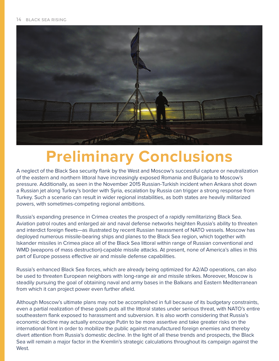

#### **Preliminary Conclusions**

A neglect of the Black Sea security flank by the West and Moscow's successful capture or neutralization of the eastern and northern littoral have increasingly exposed Romania and Bulgaria to Moscow's pressure. Additionally, as seen in the November 2015 Russian-Turkish incident when Ankara shot down a Russian jet along Turkey's border with Syria, escalation by Russia can trigger a strong response from Turkey. Such a scenario can result in wider regional instabilities, as both states are heavily militarized powers, with sometimes-competing regional ambitions.

Russia's expanding presence in Crimea creates the prospect of a rapidly remilitarizing Black Sea. Aviation patrol routes and enlarged air and naval defense networks heighten Russia's ability to threaten and interdict foreign fleets—as illustrated by recent Russian harassment of NATO vessels. Moscow has deployed numerous missile-bearing ships and planes to the Black Sea region, which together with Iskander missiles in Crimea place all of the Black Sea littoral within range of Russian conventional and WMD (weapons of mass destruction)-capable missile attacks. At present, none of America's allies in this part of Europe possess effective air and missile defense capabilities.

Russia's enhanced Black Sea forces, which are already being optimized for A2/AD operations, can also be used to threaten European neighbors with long-range air and missile strikes. Moreover, Moscow is steadily pursuing the goal of obtaining naval and army bases in the Balkans and Eastern Mediterranean from which it can project power even further afield.

Although Moscow's ultimate plans may not be accomplished in full because of its budgetary constraints, even a partial realization of these goals puts all the littoral states under serious threat, with NATO's entire southeastern flank exposed to harassment and subversion. It is also worth considering that Russia's economic decline may actually encourage Putin to be more assertive and take greater risks on the international front in order to mobilize the public against manufactured foreign enemies and thereby divert attention from Russia's domestic decline. In the light of all these trends and prospects, the Black Sea will remain a major factor in the Kremlin's strategic calculations throughout its campaign against the West.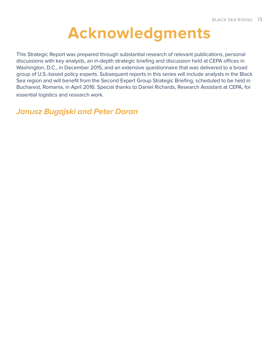#### **Acknowledgments**

This Strategic Report was prepared through substantial research of relevant publications, personal discussions with key analysts, an in-depth strategic briefing and discussion held at CEPA offices in Washington, D.C., in December 2015, and an extensive questionnaire that was delivered to a broad group of U.S.-based policy experts. Subsequent reports in this series will include analysts in the Black Sea region and will benefit from the Second Expert Group Strategic Briefing, scheduled to be held in Bucharest, Romania, in April 2016. Special thanks to Daniel Richards, Research Assistant at CEPA, for essential logistics and research work.

**Janusz Bugajski and Peter Doran**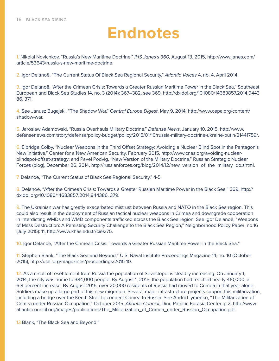#### **Endnotes**

1. Nikolai Novichkov, "Russia's New Maritime Doctrine," IHS Janes's 360, August 13, 2015, http://www.janes.com/ article/53643/russia-s-new-maritime-doctrine.

2. Igor Delanoë, "The Current Status Of Black Sea Regional Security," Atlantic Voices 4, no. 4, April 2014.

3. Igor Delanoë, "After the Crimean Crisis: Towards a Greater Russian Maritime Power in the Black Sea," Southeast European and Black Sea Studies 14, no. 3 (2014): 367–382, see 369, http://dx.doi.org/10.1080/14683857.2014.9443 86, 371.

4. See Janusz Bugajski, "The Shadow War," Central Europe Digest, May 9, 2014. http://www.cepa.org/content/ shadow-war.

5. Jaroslaw Adamowski, "Russia Overhauls Military Doctrine," Defense News, January 10, 2015, http://www. defensenews.com/story/defense/policy-budget/policy/2015/01/10/russia-military-doctrine-ukraine-putin/21441759/.

6. Elbridge Colby, "Nuclear Weapons in the Third Offset Strategy: Avoiding a Nuclear Blind Spot in the Pentagon's New Initiative," Center for a New American Security, February 2015, http://www.cnas.org/avoiding-nuclearblindspot-offset-strategy; and Pavel Podvig, "New Version of the Military Doctrine," Russian Strategic Nuclear Forces (blog), December 26, 2014, http://russianforces.org/blog/2014/12/new\_version\_of\_the\_military\_do.shtml.

7. Delanoë, "The Current Status of Black Sea Regional Security," 4-5.

8. Delanoë, "After the Crimean Crisis: Towards a Greater Russian Maritime Power in the Black Sea," 369, http:// dx.doi.org/10.1080/14683857.2014.944386, 379.

9. The Ukrainian war has greatly exacerbated mistrust between Russia and NATO in the Black Sea region. This could also result in the deployment of Russian tactical nuclear weapons in Crimea and downgrade cooperation in interdicting WMDs and WMD components trafficked across the Black Sea region. See Igor Delanoë, "Weapons of Mass Destruction: A Persisting Security Challenge to the Black Sea Region," Neighborhood Policy Paper, no.16 (July 2015): 11, http://www.khas.edu.tr/cies/75.

10. Igor Delanoë, "After the Crimean Crisis: Towards a Greater Russian Maritime Power in the Black Sea."

11. Stephen Blank, "The Black Sea and Beyond," U.S. Naval Institute Proceedings Magazine 14, no. 10 (October 2015), http://usni.org/magazines/proceedings/2015-10.

12. As a result of resettlement from Russia the population of Sevastopol is steadily increasing. On January 1, 2014, the city was home to 384,000 people. By August 1, 2015, the population had reached nearly 410,000, a 6.8 percent increase. By August 2015, over 20,000 residents of Russia had moved to Crimea in that year alone. Soldiers make up a large part of this new migration. Several major infrastructure projects support this militarization, including a bridge over the Kerch Strait to connect Crimea to Russia. See Andrii Llymenko, "The Militarization of Crimea under Russian Occupation," October 2015, Atlantic Council, Dinu Patriciu Eurasia Center, p.2, http://www. atlanticcouncil.org/images/publications/The\_Militarization\_of\_Crimea\_under\_Russian\_Occupation.pdf.

13 Blank, "The Black Sea and Beyond."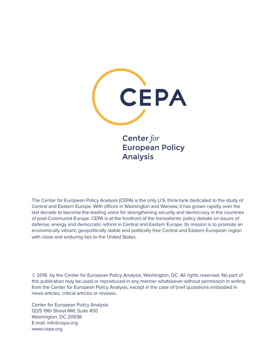

Center for **European Policy Analysis** 

The Center for European Policy Analysis (CEPA) is the only U.S. think-tank dedicated to the study of Central and Eastern Europe. With offices in Washington and Warsaw, it has grown rapidly over the last decade to become the leading voice for strengthening security and democracy in the countries of post-Communist Europe. CEPA is at the forefront of the transatlantic policy debate on issues of defense, energy and democratic reform in Central and Eastern Europe. Its mission is to promote an economically vibrant, geopolitically stable and politically free Central and Eastern European region with close and enduring ties to the United States.

© 2016 by the Center for European Policy Analysis, Washington, DC. All rights reserved. No part of this publication may be used or reproduced in any manner whatsoever without permission in writing from the Center for European Policy Analysis, except in the case of brief quotations embodied in news articles, critical articles or reviews.

Center for European Policy Analysis 1225 19th Street NW, Suite 450 Washington, DC 20036 E-mail: info@cepa.org www.cepa.org